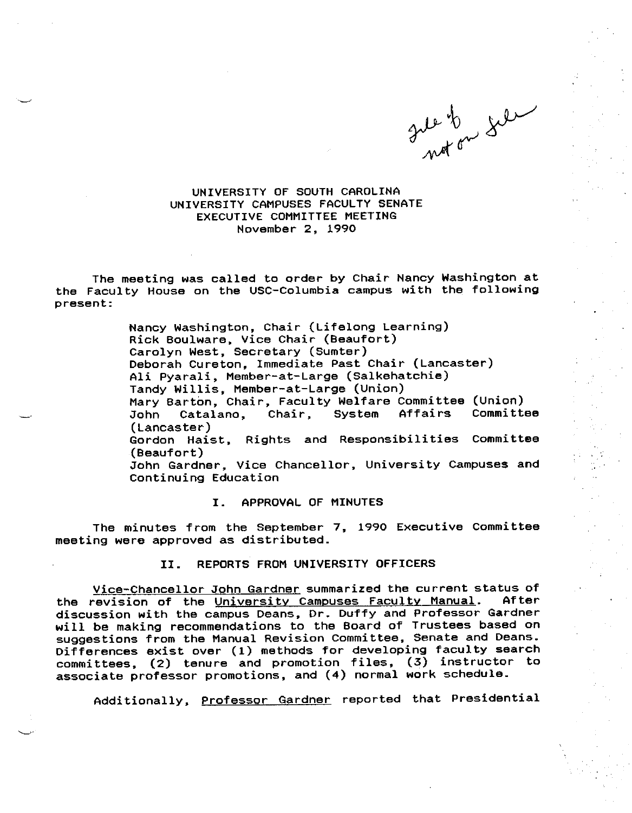Inde to get

UNIVERSITY OF SOUTH CAROLINA UNIVERSITY CAMPUSES FACULTY SENATE EXECUTIVE COMMITTEE MEETING November 2, 1990

The meeting was called to order by Chair Nancy Washington at the Faculty House on the USC-Columbia campus with the following present:

> Nancy Washington, Chair (Lifelong Learning) Rick Boulware, Vice Chair (Beaufort) Carolyn West, Secretary (Sumter) Deborah Cureton, Immediate Past Chair (Lancaster) Ali Pyarali, Member-at-Large (Salkehatchie) Tandy Willis, Member-at-Large (Union) Mary Barton, Chair, Faculty Welfare Committee (Union) John Catalano, Chair, System (Lancaster) Gordon Haist, Rights and Responsibilities Committee (Beaufort) John Gardner, Vice Chancellor, University Campuses and Continuing Education

## I. APPROVAL OF MINUTES

The minutes from the September 7, 1990 Executive Committee meeting were approved as distributed.

## II. REPORTS FROM UNIVERSITY OFFICERS

<u>Vice-Chancellor John Gardner</u> summarized the current status of<br>revision of the University Campuses Faculty Manual. After the revision of the University Campuses Faculty Manual. discussion with the campus Deans, Dr. Duffy and Professor Gardner will be making recommendations to the Board of Trustees based on suggestions from the Manual Revision Committee, Senate and Deans. suggestions from the nanual nevicion committee, cannot must assume committees, (2) tenure and promotion files, (3) instructor to associate professor promotions, and (4) normal work schedule.

Additionally, Professor Gardner reported that Presidential